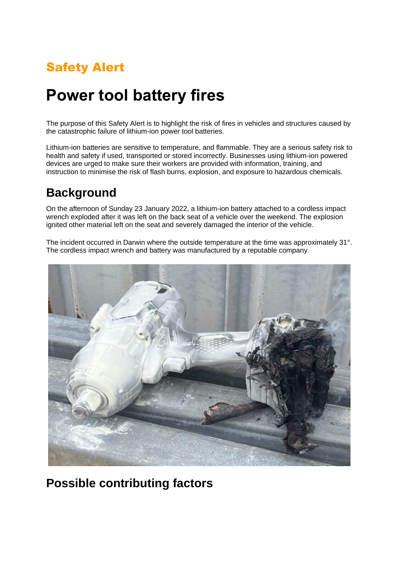# Safety Alert

# **Power tool battery fires**

The purpose of this Safety Alert is to highlight the risk of fires in vehicles and structures caused by the catastrophic failure of lithium-ion power tool batteries.

Lithium-ion batteries are sensitive to temperature, and flammable. They are a serious safety risk to health and safety if used, transported or stored incorrectly. Businesses using lithium-ion powered devices are urged to make sure their workers are provided with information, training, and instruction to minimise the risk of flash burns, explosion, and exposure to hazardous chemicals.

### **Background**

On the afternoon of Sunday 23 January 2022, a lithium-ion battery attached to a cordless impact wrench exploded after it was left on the back seat of a vehicle over the weekend. The explosion ignited other material left on the seat and severely damaged the interior of the vehicle.

The incident occurred in Darwin where the outside temperature at the time was approximately 31°. The cordless impact wrench and battery was manufactured by a reputable company.



### **Possible contributing factors**